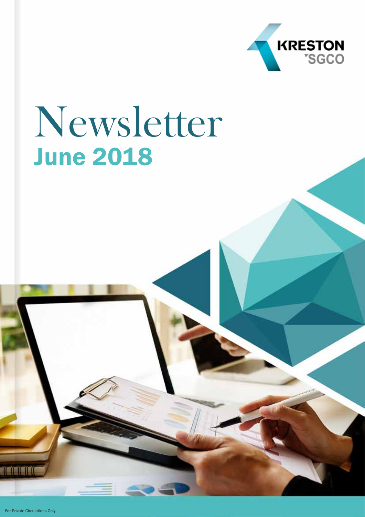

# Newsletter June 2018

For Private Circulations Only

TEEEE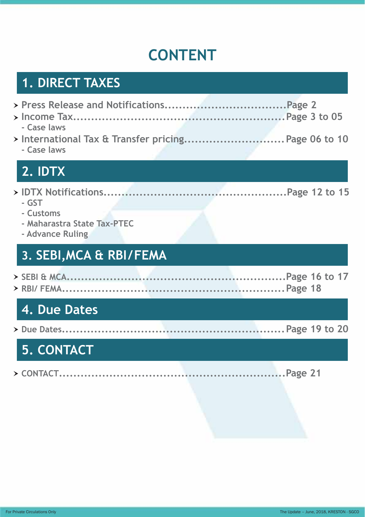# **CONTENT**

# **1. DIRECT TAXES**

| - Case laws                                                         |  |
|---------------------------------------------------------------------|--|
| > International Tax & Transfer pricing Page 06 to 10<br>- Case laws |  |
| 2. IDTX                                                             |  |
|                                                                     |  |
| - GST                                                               |  |
| - Customs<br>- Maharastra State Tax-PTEC                            |  |
| - Advance Ruling                                                    |  |
|                                                                     |  |
| 3. SEBI, MCA & RBI/FEMA                                             |  |
|                                                                     |  |
|                                                                     |  |
| 4. Due Dates                                                        |  |
|                                                                     |  |
| 5. CONTACT                                                          |  |
|                                                                     |  |
|                                                                     |  |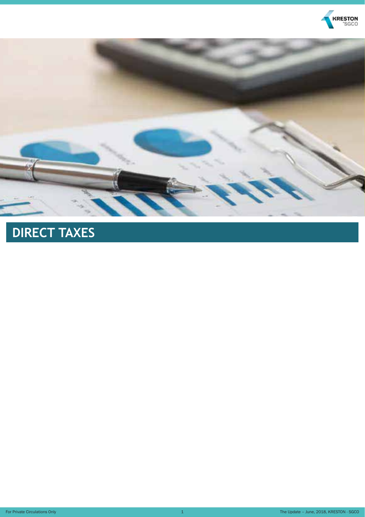



# **DIRECT TAXES**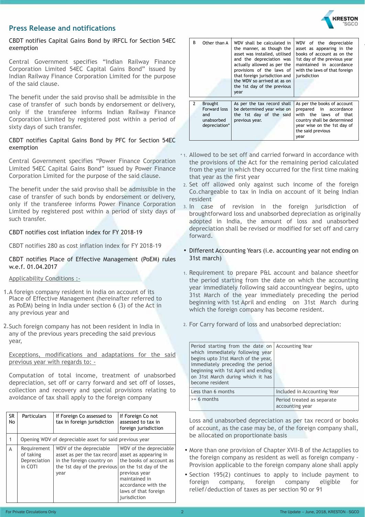

#### **Press Release and notifications**

CBDT notifies Capital Gains Bond by IRFCL for Section 54EC exemption

Central Government specifies "Indian Railway Finance Corporation Limited 54EC Capital Gains Bond" issued by Indian Railway Finance Corporation Limited for the purpose of the said clause.

The benefit under the said proviso shall be admissible in the case of transfer of such bonds by endorsement or delivery, only if the transferee informs Indian Railway Finance Corporation Limited by registered post within a period of sixty days of such transfer.

#### CBDT notifies Capital Gains Bond by PFC for Section 54EC exemption

Central Government specifies "Power Finance Corporation Limited 54EC Capital Gains Bond" issued by Power Finance Corporation Limited for the purpose of the said clause.

The benefit under the said proviso shall be admissible in the case of transfer of such bonds by endorsement or delivery, only if the transferee informs Power Finance Corporation Limited by registered post within a period of sixty days of such transfer.

#### CBDT notifies cost inflation index for FY 2018-19

CBDT notifies 280 as cost inflation index for FY 2018-19

#### CBDT notifies Place of Effective Management (PoEM) rules w.e.f. 01.04.2017

#### Applicability Conditions :-

- 1. A foreign company resident in India on account of its Place of Effective Management (hereinafter referred to as PoEM) being in India under section 6 (3) of the Act in any previous year and
- 2. Such foreign company has not been resident in India in any of the previous years preceding the said previous year,

Exceptions, modifications and adaptations for the said previous year with regards to: -

Computation of total income, treatment of unabsorbed depreciation, set off or carry forward and set off of losses, collection and recovery and special provisions relating to avoidance of tax shall apply to the foreign company

| <b>SR</b><br>No | <b>Particulars</b>                                  | If Foreign Co assessed to<br>tax in foreign jurisdiction                                                                  | If Foreign Co not<br>assessed to tax in<br>foreign jurisdiction                                                                                                                                      |
|-----------------|-----------------------------------------------------|---------------------------------------------------------------------------------------------------------------------------|------------------------------------------------------------------------------------------------------------------------------------------------------------------------------------------------------|
|                 |                                                     | Opening WDV of depreciable asset for said previous year                                                                   |                                                                                                                                                                                                      |
| A               | Requirement<br>of taking<br>Depreciation<br>in COTI | WDV of the depreciable<br>asset as per the tax record<br>in the foreign country on<br>the 1st day of the previous<br>year | WDV of the depreciable<br>asset as appearing in<br>the books of account as<br>on the 1st day of the<br>previous year<br>maintained in<br>accordance with the<br>laws of that foreign<br>jurisdiction |

| B             | Other than A                                                         | WDV shall be calculated in<br>the manner, as though the<br>asset was installed, utilised<br>and the depreciation was<br>actually allowed as per the<br>provisions of the laws of<br>that foreign jurisdiction and<br>the WDV so arrived at as on<br>the 1st day of the previous<br>year | WDV of the depreciable<br>asset as appearing in the<br>books of account as on the<br>1st day of the previous year<br>maintained in accordance<br>with the laws of that foreign<br>jurisdiction |
|---------------|----------------------------------------------------------------------|-----------------------------------------------------------------------------------------------------------------------------------------------------------------------------------------------------------------------------------------------------------------------------------------|------------------------------------------------------------------------------------------------------------------------------------------------------------------------------------------------|
| $\mathcal{P}$ | <b>Brought</b><br>Forward loss<br>and<br>unabsorbed<br>depreciation* | As per the tax record shall<br>be determined year wise on<br>the 1st day of the said<br>previous year.                                                                                                                                                                                  | As per the books of account<br>in accordance<br>prepared<br>with the laws of that<br>country shall be determined<br>year wise on the 1st day of<br>the said previous<br>year                   |

- \*1. Allowed to be set off and carried forward in accordance with the provisions of the Act for the remaining period calculated from the year in which they occurred for the first time making that year as the first year
- 2. Set off allowed only against such income of the foreign Co.chargeable to tax in India on account of it being Indian resident
- 3. In case of revision in the foreign jurisdiction of broughtforward loss and unabsorbed depreciation as originally adopted in India, the amount of loss and unabsorbed depreciation shall be revised or modified for set off and carry forward.
- Different Accounting Years (i.e. accounting year not ending on 31st march)
- 1. Requirement to prepare P&L account and balance sheetfor the period starting from the date on which the accounting year immediately following said accountingyear begins, upto 31st March of the year immediately preceding the period beginning with 1st April and ending on 31st March during which the foreign company has become resident.
- For Carry forward of loss and unabsorbed depreciation: 2.

| Period starting from the date on Accounting Year<br>which immediately following year<br>begins upto 31st March of the year,<br>immediately preceding the period<br>beginning with 1st April and ending<br>on 31st March during which it has<br>become resident |                                               |
|----------------------------------------------------------------------------------------------------------------------------------------------------------------------------------------------------------------------------------------------------------------|-----------------------------------------------|
| Less than 6 months                                                                                                                                                                                                                                             | Included in Accounting Year                   |
| $>= 6$ months                                                                                                                                                                                                                                                  | Period treated as separate<br>accounting year |

Loss and unabsorbed depreciation as per tax record or books of account, as the case may be, of the foreign company shall, be allocated on proportionate basis

- More than one provision of Chapter XVII-B of the Actapplies to the foreign company as resident as well as foreign company - Provision applicable to the foreign company alone shall apply
- Section 195(2) continues to apply to include payment to foreign company, foreign company eligible for relief/deduction of taxes as per section 90 or 91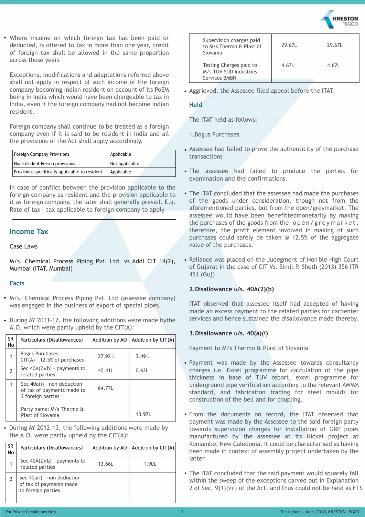Where income on which foreign tax has been paid or • deducted, is offered to tax in more than one year, credit of foreign tax shall be allowed in the same proportion across those years

Exceptions, modifications and adaptations referred above shall not apply in respect of such income of the foreign company becoming Indian resident on account of its PoEM being in India which would have been chargeable to tax in India, even if the foreign company had not become Indian resident.

Foreign company shall continue to be treated as a foreign company even if it is said to be resident in India and all the provisions of the Act shall apply accordingly.

| Foreign Company Provisions                     | Applicable     |
|------------------------------------------------|----------------|
| Non-resident Person provisions                 | Not applicable |
| Provisions specifically applicable to resident | Applicable     |

In case of conflict between the provision applicable to the foreign company as resident and the provision applicable to it as foreign company, the later shall generally prevail. E.g. Rate of tax – tax applicable to foreign company to apply

#### **Income Tax**

#### Case Laws

M/s. Chemical Process Piping Pvt. Ltd. vs Addl CIT 14(2), Mumbai (ITAT, Mumbai)

#### **Facts**

- M/s. Chemical Process Piping Pvt. Ltd (assessee company) was engaged in the business of export of special pipes.
- During AY 2011-12, the following additions were made bythe A.O. which were partly upheld by the CIT(A):

| <b>SR</b><br>No | Particulars (Disallowances)                                                     | Addition by AO | Addition by CIT(A) |
|-----------------|---------------------------------------------------------------------------------|----------------|--------------------|
| 1               | <b>Bogus Purchases</b><br>$CIT(A) - 12.5%$ of purchases                         | 27.92L         | 3.49L              |
| $\overline{2}$  | Sec $40A(2)(b)$ - payments to<br>related parties                                | 40.41L         | 0.62L              |
| 3               | Sec $40a(i)$ - non deduction<br>of tax of payments made to<br>2 foreign parties | 64.77L         |                    |
|                 | Party name: M/s Thermo &<br>Plast of Slovania                                   |                | 13.97L             |

• During AY 2012-13, the following additions were made by the  $A.O.$  were partly upheld by the  $CIT(A)$ :

| SR<br>No | Particulars (Disallowances)                                                   | Addition by AO | Addition by CIT(A) |
|----------|-------------------------------------------------------------------------------|----------------|--------------------|
|          | Sec $40A(2)(b)$ - payments to<br>related parties                              | 13.66L         | 1.90L              |
|          | Sec $40a(i)$ - non deduction<br>of tax of payments made<br>to foreign parties |                |                    |

| Supervision charges paid<br>to M/s Thermo & Plast of<br>Slovania   | 29.67L | 29.67L |
|--------------------------------------------------------------------|--------|--------|
| Testing Charges paid to<br>M/s TUV SUD Industries<br>Services BMBH | 4.67L  | 4.67L  |

• Aggrieved, the Assessee filed appeal before the ITAT.

#### **Held**

The ITAT held as follows:

1.Bogus Purchases

- Assessee had failed to prove the authenticity of the purchase transactions
- The assessee had failed to produce the parties for examination and the confirmations.
- The ITAT concluded that the assessee had made the purchases of the goods under consideration, though not from the aforementioned parties, but from the open/greymarket. The assessee would have been benefittedmonetarily by making the purchases of the goods from the open/greymarket, therefore, the profit element involved in making of such purchases could safely be taken @ 12.5% of the aggregate value of the purchases.
- Reliance was placed on the Judegment of Hon'ble High Court of Gujarat in the case of CIT Vs. Simit P. Sheth (2013) 356 ITR 451 (Guj)

#### **2.Disallowance u/s. 40A(2)(b)**

ITAT observed that assessee itself had accepted of having made an excess payment to the related parties for carpenter services and hence sustained the disallowance made thereby.

#### **3.Disallowance u/s. 40(a)(i)**

Payment to M/s Thermo & Plast of Slovania

- Payment was made by the Assessee towards consultancy charges i.e. Excel programme for calculation of the pipe thickness in base of TUV report, excel programme for underground pipe verification according to the relevant AWWA standard, and fabrication trading for steel moulds for construction of the bell and for coupling.
- From the documents on record, the ITAT observed that payment was made by the Assessee to the said foreign party towards supervision charges for installation of GRP pipes manufactured by the assessee at its Nickel project at Koniambo, New Caledonia. It could be characterised as having been made in context of assembly project undertaken by the latter.
- The ITAT concluded that the said payment would squarely fall within the sweep of the exceptions carved out in Explanation 2 of Sec. 9(1)(vii) of the Act, and thus could not be held as FTS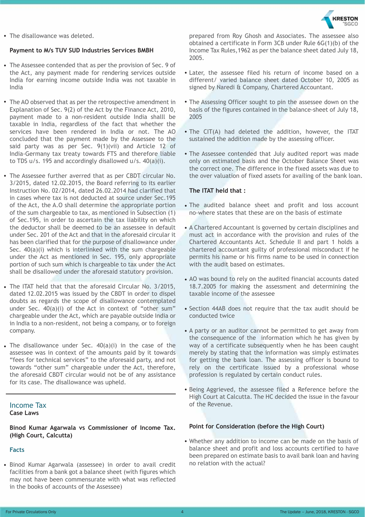

• The disallowance was deleted.

#### **Payment to M/s TUV SUD Industries Services BMBH**

- The Assessee contended that as per the provision of Sec. 9 of the Act, any payment made for rendering services outside India for earning income outside India was not taxable in India
- The AO observed that as per the retrospective amendment in Explanation of Sec. 9(2) of the Act by the Finance Act, 2010, payment made to a non-resident outside India shalll be taxable in India, regardless of the fact that whether the services have been rendered in India or not. The AO concluded that the payment made by the Assessee to the said party was as per Sec. 9(1)(vii) and Article 12 of India-Germany tax treaty towards FTS and therefore liable to TDS u/s. 195 and accordingly disallowed u/s. 40(a)(i).
- The Assessee further averred that as per CBDT circular No. 3/2015, dated 12.02.2015, the Board referring to its earlier Instruction No. 02/2014, dated 26.02.2014 had clarified that in cases where tax is not deducted at source under Sec.195 of the Act, the A.O shall determine the appropriate portion of the sum chargeable to tax, as mentioned in Subsection (1) of Sec.195, in order to ascertain the tax liability on which the deductor shall be deemed to be an assessee in default under Sec. 201 of the Act and that in the aforesaid circular it has been clarified that for the purpose of disallowance under Sec. 40(a)(i) which is interlinked with the sum chargeable under the Act as mentioned in Sec. 195, only appropriate portion of such sum which is chargeable to tax under the Act shall be disallowed under the aforesaid statutory provision.
- The ITAT held that that the aforesaid Circular No. 3/2015, dated 12.02.2015 was issued by the CBDT in order to dispel doubts as regards the scope of disallowance contemplated under Sec. 40(a)(i) of the Act in context of "other sum" chargeable under the Act, which are payable outside India or in India to a non-resident, not being a company, or to foreign company.
- The disallowance under Sec.  $40(a)(i)$  in the case of the assessee was in context of the amounts paid by it towards "fees for technical services" to the aforesaid party, and not towards "other sum" chargeable under the Act, therefore, the aforesaid CBDT circular would not be of any assistance for its case. The disallowance was upheld.

#### Income Tax

**Case Laws**

**Binod Kumar Agarwala vs Commissioner of Income Tax. (High Court, Calcutta)** 

#### **Facts**

• Binod Kumar Agarwala (assessee) in order to avail credit facilities from a bank got a balance sheet (with figures which may not have been commensurate with what was reflected in the books of accounts of the Assessee)

prepared from Roy Ghosh and Associates. The assessee also obtained a certificate in Form 3CB under Rule 6G(1)(b) of the Income Tax Rules,1962 as per the balance sheet dated July 18, 2005.

- Later, the assessee filed his return of income based on a different/ varied balance sheet dated October 10, 2005 as signed by Naredi & Company, Chartered Accountant.
- The Assessing Officer sought to pin the assessee down on the basis of the figures contained in the balance-sheet of July 18, 2005
- The CIT(A) had deleted the addition, however, the ITAT sustained the addition made by the assessing officer.
- The Assessee contended that July audited report was made only on estimated basis and the October Balance Sheet was the correct one. The difference in the fixed assets was due to the over valuation of fixed assets for availing of the bank loan.

#### **The ITAT held that :**

- The audited balance sheet and profit and loss account no-where states that these are on the basis of estimate
- A Chartered Accountant is governed by certain disciplines and must act in accordance with the provision and rules of the Chartered Accountants Act. Schedule II and part 1 holds a chartered accountant guilty of professional misconduct if he permits his name or his firms name to be used in connection with the audit based on estimates.
- AO was bound to rely on the audited financial accounts dated 18.7.2005 for making the assessment and determining the taxable income of the assessee
- Section 44AB does not require that the tax audit should be conducted twice
- A party or an auditor cannot be permitted to get away from the consequence of the information which he has given by way of a certificate subsequently when he has been caught merely by stating that the information was simply estimates for getting the bank loan. The assessing officer is bound to rely on the certificate issued by a professional whose profession is regulated by certain conduct rules.
- Being Aggrieved, the assessee filed a Reference before the High Court at Calcutta. The HC decided the issue in the favour of the Revenue.

#### **Point for Consideration (before the High Court)**

• Whether any addition to income can be made on the basis of balance sheet and profit and loss accounts certified to have been prepared on estimate basis to avail bank loan and having no relation with the actual?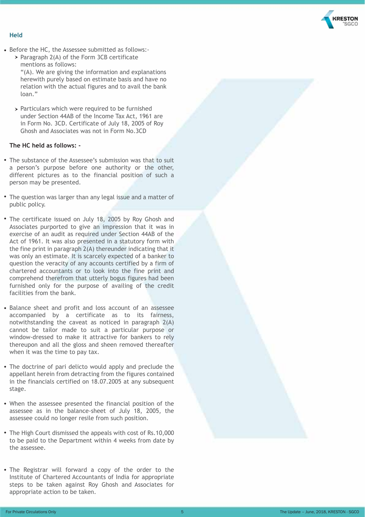

#### **Held**

loan."

- Before the HC, the Assessee submitted as follows:-
	- > Paragraph 2(A) of the Form 3CB certificate mentions as follows: "(A). We are giving the information and explanations herewith purely based on estimate basis and have no relation with the actual figures and to avail the bank
	- $>$  Particulars which were required to be furnished under Section 44AB of the Income Tax Act, 1961 are in Form No. 3CD. Certificate of July 18, 2005 of Roy Ghosh and Associates was not in Form No.3CD

#### **The HC held as follows: -**

- The substance of the Assessee's submission was that to suit a person's purpose before one authority or the other, different pictures as to the financial position of such a person may be presented.
- The question was larger than any legal issue and a matter of public policy.
- The certificate issued on July 18, 2005 by Roy Ghosh and Associates purported to give an impression that it was in exercise of an audit as required under Section 44AB of the Act of 1961. It was also presented in a statutory form with the fine print in paragraph 2(A) thereunder indicating that it was only an estimate. It is scarcely expected of a banker to question the veracity of any accounts certified by a firm of chartered accountants or to look into the fine print and comprehend therefrom that utterly bogus figures had been furnished only for the purpose of availing of the credit facilities from the bank.
- Balance sheet and profit and loss account of an assessee accompanied by a certificate as to its fairness, notwithstanding the caveat as noticed in paragraph 2(A) cannot be tailor made to suit a particular purpose or window-dressed to make it attractive for bankers to rely thereupon and all the gloss and sheen removed thereafter when it was the time to pay tax.
- The doctrine of pari delicto would apply and preclude the appellant herein from detracting from the figures contained in the financials certified on 18.07.2005 at any subsequent stage.
- When the assessee presented the financial position of the assessee as in the balance-sheet of July 18, 2005, the assessee could no longer resile from such position.
- The High Court dismissed the appeals with cost of Rs.10,000 to be paid to the Department within 4 weeks from date by the assessee.
- The Registrar will forward a copy of the order to the Institute of Chartered Accountants of India for appropriate steps to be taken against Roy Ghosh and Associates for appropriate action to be taken.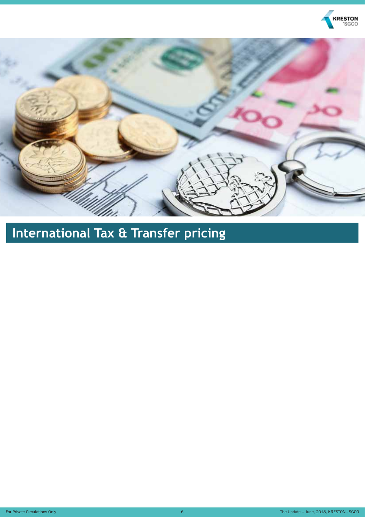



# **International Tax & Transfer pricing**

For Private Circulations Only **6** The Update – June, 2018, KRESTON - SGCO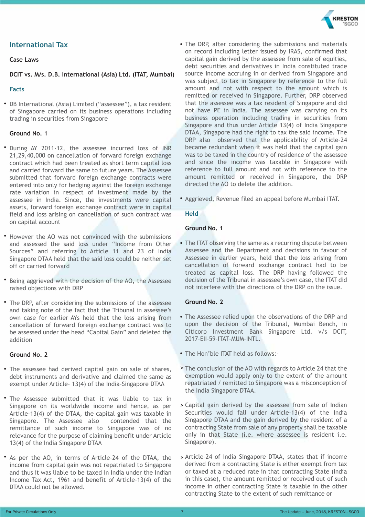

#### **International Tax**

#### **Case Laws**

**DCIT vs. M/s. D.B. International (Asia) Ltd. (ITAT, Mumbai)**

#### **Facts**

• DB International (Asia) Limited ("assessee"), a tax resident of Singapore carried on its business operations including trading in securities from Singapore

#### **Ground No. 1**

- During AY 2011-12, the assessee incurred loss of INR 21,29,40,000 on cancellation of forward foreign exchange contract which had been treated as short term capital loss and carried forward the same to future years. The Assessee submitted that forward foreign exchange contracts were entered into only for hedging against the foreign exchange rate variation in respect of investment made by the assessee in India. Since, the investments were capital assets, forward foreign exchange contract were in capital field and loss arising on cancellation of such contract was on capital account
- However the AO was not convinced with the submissions and assessed the said loss under "Income from Other Sources" and referring to Article 11 and 23 of India Singapore DTAA held that the said loss could be neither set off or carried forward
- Being aggrieved with the decision of the AO, the Assessee raised objections with DRP
- The DRP, after considering the submissions of the assessee and taking note of the fact that the Tribunal in assessee's own case for earlier AYs held that the loss arising from cancellation of forward foreign exchange contract was to be assessed under the head "Capital Gain" and deleted the addition

#### **Ground No. 2**

- The assessee had derived capital gain on sale of shares, debt instruments and derivative and claimed the same as exempt under Article– 13(4) of the India–Singapore DTAA
- The Assessee submitted that it was liable to tax in Singapore on its worldwide income and hence, as per Article–13(4) of the DTAA, the capital gain was taxable in Singapore. The Assessee also contended that the remittance of such income to Singapore was of no relevance for the purpose of claiming benefit under Article 13(4) of the India Singapore DTAA
- As per the AO, in terms of Article–24 of the DTAA, the income from capital gain was not repatriated to Singapore and thus it was liable to be taxed in India under the Indian Income Tax Act, 1961 and benefit of Article–13(4) of the DTAA could not be allowed.
- The DRP, after considering the submissions and materials on record including letter issued by IRAS, confirmed that capital gain derived by the assessee from sale of equities, debt securities and derivatives in India constituted trade source income accruing in or derived from Singapore and was subject to tax in Singapore by reference to the full amount and not with respect to the amount which is remitted or received in Singapore. Further, DRP observed that the assessee was a tax resident of Singapore and did not have PE in India. The assessee was carrying on its business operation including trading in securities from Singapore and thus under Article 13(4) of India Singapore DTAA, Singapore had the right to tax the said income. The DRP also observed that the applicability of Article-24 became redundant when it was held that the capital gain was to be taxed in the country of residence of the assessee and since the income was taxable in Singapore with reference to full amount and not with reference to the amount remitted or received in Singapore, the DRP directed the AO to delete the addition.
- Aggrieved, Revenue filed an appeal before Mumbai ITAT.

#### **Held**

#### **Ground No. 1**

• The ITAT observing the same as a recurring dispute between Assessee and the Department and decisions in favour of Assessee in earlier years, held that the loss arising from cancellation of forward exchange contract had to be treated as capital loss. The DRP having followed the decision of the Tribunal in assessee's own case, the ITAT did not interfere with the directions of the DRP on the issue.

#### **Ground No. 2**

- The Assessee relied upon the observations of the DRP and upon the decision of the Tribunal, Mumbai Bench, in Citicorp Investment Bank Singapore Ltd. v/s DCIT, 2017–EII–59–ITAT–MUM–INTL.
- The Hon'ble ITAT held as follows:-
- The conclusion of the AO with regards to Article 24 that the exemption would apply only to the extent of the amount repatriated / remitted to Singapore was a misconception of the India Singapore DTAA.
- Capital gain derived by the assessee from sale of Indian Securities would fall under Article–13(4) of the India Singapore DTAA and the gain derived by the resident of a contracting State from sale of any property shall be taxable only in that State (i.e. where assessee is resident i.e. Singapore).
- Article–24 of India Singapore DTAA, states that if income derived from a contracting State is either exempt from tax or taxed at a reduced rate in that contracting State (India in this case), the amount remitted or received out of such income in other contracting State is taxable in the other contracting State to the extent of such remittance or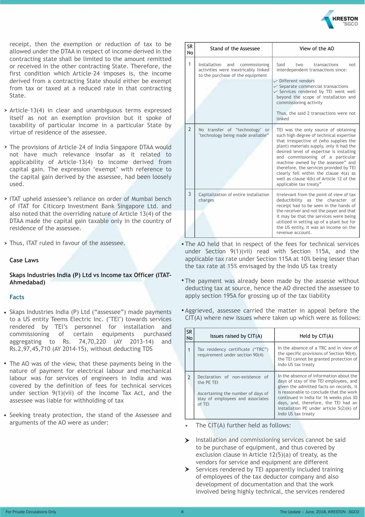

receipt, then the exemption or reduction of tax to be allowed under the DTAA in respect of income derived in the contracting state shall be limited to the amount remitted or received in the other contracting State. Therefore, the first condition which Article–24 imposes is, the income derived from a contracting State should either be exempt from tax or taxed at a reduced rate in that contracting State.

- $\rightarrow$  Article-13(4) in clear and unambiguous terms expressed itself as not an exemption provision but it spoke of taxability of particular income in a particular State by virtue of residence of the assessee.
- The provisions of Article–24 of India Singapore DTAA would not have much relevance insofar as it related to applicability of Article–13(4) to income derived from capital gain. The expression 'exempt' with reference to the capital gain derived by the assessee, had been loosely used.
- > ITAT upheld assessee's reliance on order of Mumbai bench of ITAT for Citicorp Investment Bank Singapore Ltd. and also noted that the overriding nature of Article 13(4) of the DTAA made the capital gain taxable only in the country of residence of the assessee.
- > Thus, ITAT ruled in favour of the assessee.

#### **Case Laws**

#### **Skaps Industries India (P) Ltd vs Income tax Officer (ITAT-Ahmedabad)**

#### **Facts**

- Skaps Industries India (P) Ltd ("assessee") made payments to a US entity Teems Electric Inc. ("TEI") towards services rendered by TEI's personnel for installation and commissioning of certain equipments purchased aggregating to Rs. 74,70,220 (AY 2013-14) and Rs.2,97,45,710 (AY 2014-15), without deducting TDS
- The AO was of the view, that these payments being in the nature of payment for electrical labour and mechanical labour was for services of engineers in India and was covered by the definition of fees for technical services under section 9(1)(vii) of the Income Tax Act, and the assessee was liable for withholding of tax
- Seeking treaty protection, the stand of the Assessee and arguments of the AO were as under:

| SR.<br><b>No</b> | Stand of the Assessee                                                                                        | View of the AO                                                                                                                                                                                                                                                                                                                                                                                                                                          |  |
|------------------|--------------------------------------------------------------------------------------------------------------|---------------------------------------------------------------------------------------------------------------------------------------------------------------------------------------------------------------------------------------------------------------------------------------------------------------------------------------------------------------------------------------------------------------------------------------------------------|--|
| 1                | Installation and<br>commissioning<br>activities were inextricably linked<br>to the purchase of the equipment | Said<br>transactions<br>two<br>not<br>interdependent transactions since:<br>$\sqrt{\phantom{a}}$ Different vendors<br>$\sqrt{\ }$ Separate commercial transactions<br>$\times$ Services rendered by TEI went well<br>beyond the scope of installation and<br>commissioning activity<br>Thus, the said 2 transactions were not<br>linked                                                                                                                 |  |
| $\overline{2}$   | No transfer of "technology" or<br>"technology being made available"                                          | TEI was the only source of obtaining<br>such high degree of technical expertise<br>that irrespective of (who supplies the<br>plant) materials supply, only it had the<br>desired level of expertise is installing<br>and commissioning of a particular<br>machine owned by the assessee" and<br>therefore, the services provided by TEI<br>clearly fell within the clause 4(a) as<br>well as clause 4(b) of Article 12 of the<br>applicable tax treaty" |  |
| 3                | Capitalization of entire installation<br>charges                                                             | Irrelevant from the point of view of tax<br>deductibility as the character of<br>receipt had to be seen in the hands of<br>the receiver and not the payer and that<br>it may be that the services were being<br>utilized in setting up of a plant but for<br>the US entity, it was an income on the<br>revenue account.                                                                                                                                 |  |

- The AO held that in respect of the fees for technical services under Section 9(1)(vii) read with Section 115A, and the applicable tax rate under Section 115A at 10% being lesser than the tax rate at 15% envisaged by the Indo US tax treaty
- The payment was already been made by the assesse without deducting tax at source, hence the AO directed the assessee to apply section 195A for grossing up of the tax liability
- Aggrieved, assessee carried the matter in appeal before the CIT(A) where new issues where taken up which were as follows:

| <b>SR</b><br>No | Issues raised by $CIT(A)$                                                                                                         | Held by $CIT(A)$                                                                                                                                                                                                                                                                                                               |
|-----------------|-----------------------------------------------------------------------------------------------------------------------------------|--------------------------------------------------------------------------------------------------------------------------------------------------------------------------------------------------------------------------------------------------------------------------------------------------------------------------------|
| 1               | Tax residency certificate ("TRC")<br>requirement under section 90(4)                                                              | In the absence of a TRC and in view of<br>the specific provisions of Section 90(4),<br>the TEI cannot be granted protection of<br>Indo US tax treaty                                                                                                                                                                           |
| <sup>7</sup>    | Declaration of non-existence of<br>the PE TEI<br>Ascertaining the number of days of<br>stay of employees and associates<br>of TFI | In the absence of information about the<br>days of stay of the TEI employees, and<br>given the admitted facts on records, it<br>is reasonable to conclude that the work<br>continued in India for 16 weeks plus 30<br>days, and, therefore, the TEI had an<br>installation PE under article $5(2)(k)$ of<br>Indo US tax treaty |

- The CIT(A) further held as follows:
- Installation and commissioning services cannot be said to be purchase of equipment, and thus covered by exclusion clause in Article 12(5)(a) of treaty, as the vendors for service and equipment are different
- $\triangleright$  Services rendered by TEI apparently included training of employees of the tax deductor company and also development of documentation and that the work involved being highly technical, the services rendered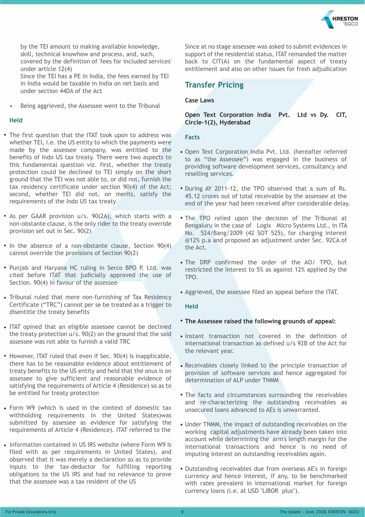

 by the TEI amount to making available knowledge, skill, technical knowhow and process, and, such, covered by the definition of 'fees for included services' under article 12(4) Since the TEI has a PE in India, the fees earned by TEI in India would be taxable in India on net basis and under section 44DA of the Act

• Being aggrieved, the Assessee went to the Tribunal

#### **Held**

- The first question that the ITAT took upon to address was whether TEI, i.e. the US entity to which the payments were made by the assessee company, was entitled to the benefits of Indo US tax treaty. There were two aspects to this fundamental question viz. first, whether the treaty protection could be declined to TEI simply on the short ground that the TEI was not able to, or did not, furnish the tax residency certificate under section 90(4) of the Act; second, whether TEI did not, on merits, satisfy the requirements of the Indo US tax treaty
- As per GAAR provision u/s. 90(2A), which starts with a non-obstante clause, is the only rider to the treaty override provision set out in Sec. 90(2)
- In the absence of a non-obstante clause, Section 90(4) cannot override the provisions of Section 90(2)
- Punjab and Haryana HC ruling in Serco BPO P. Ltd. was cited before ITAT that judicially approved the use of Section. 90(4) in favour of the assessee
- Tribunal ruled that mere non-furnishing of Tax Residency Certificate ("TRC") cannot per se be treated as a trigger to disentitle the treaty benefits
- ITAT opined that an eligible assessee cannot be declined the treaty protection u/s. 90(2) on the ground that the said assessee was not able to furnish a valid TRC
- However, ITAT ruled that even if Sec. 90(4) is inapplicable, there has to be reasonable evidence about entitlement of treaty benefits to the US entity and held that the onus is on assessee to give sufficient and reasonable evidence of satisfying the requirements of Article 4 (Residence) so as to be entitled for treaty protection
- Form W9 (which is used in the context of domestic tax withholding requirements in the United States)was submitted by assessee as evidence for satisfying the requirements of Article 4 (Residence). ITAT referred to the
- information contained in US IRS website (where Form W9 is filed with as per requirements in United States), and observed that it was merely a declaration so as to provide inputs to the tax-deductor for fulfilling reporting obligations to the US IRS and had no relevance to prove that the assessee was a tax resident of the US

Since at no stage assessee was asked to submit evidences in support of the residential status, ITAT remanded the matter back to CIT(A) on the fundamental aspect of treaty entitlement and also on other issues for fresh adjudication

#### **Transfer Pricing**

#### **Case Laws**

#### **Open Text Corporation India Pvt. Ltd vs Dy. CIT, Circle-1(2), Hyderabad**

#### **Facts**

- Open Text Corporation India Pvt. Ltd. (hereafter referred to as "the Assessee") was engaged in the business of providing software development services, consultancy and reselling services.
- During AY 2011-12, the TPO observed that a sum of Rs. 45.12 crores out of total receivable by the assessee at the end of the year had been received after considerable delay.
- The TPO relied upon the decision of the Tribunal at Bengaluru in the case of Logix Micro Systems Ltd., in ITA No. 524/Bang/2009 (42 SOT 525), for charging interest @12% p.a and proposed an adjustment under Sec. 92CA of the Act.
- The DRP confirmed the order of the AO/ TPO, but restricted the interest to 5% as against 12% applied by the TPO.
- Aggrieved, the assessee filed an appeal before the ITAT.

#### **Held**

#### • **The Assessee raised the following grounds of appeal:**

- Instant transaction not covered in the definition of international transaction as defined u/s 92B of the Act for the relevant year.
- Receivables closely linked to the principle transaction of provision of software services and hence aggregated for determination of ALP under TNMM
- The facts and circumstances surrounding the receivables and re-characterizing the outstanding receivables as unsecured loans advanced to AEs is unwarranted.
- Under TNMM, the impact of outstanding receivables on the working capital adjustments have already been taken into account while determining the arm's length margin for the international transactions and hence is no need of imputing interest on outstanding receivables again.
- Outstanding receivables due from overseas AE's in foreign currency and hence interest, if any, to be benchmarked with rates prevalent in international market for foreign currency loans (i.e. at USD "LIBOR plus").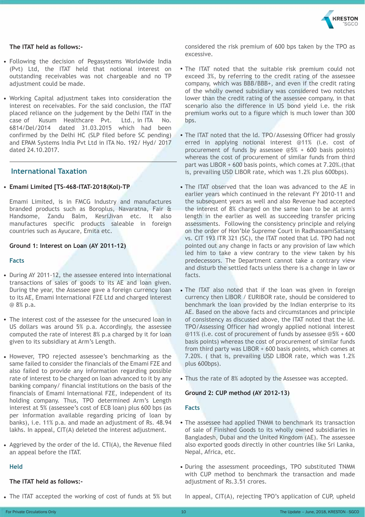

#### **The ITAT held as follows:-**

- Following the decision of Pegasystems Worldwide India (Pvt) Ltd, the ITAT held that notional interest on outstanding receivables was not chargeable and no TP adjustment could be made.
- Working Capital adjustment takes into consideration the interest on receivables. For the said conclusion, the ITAT placed reliance on the judgement by the Delhi ITAT in the case of Kusum Healthcare Pvt. Ltd., in ITA No. 6814/Del/2014 dated 31.03.2015 which had been confirmed by the Delhi HC (SLP filed before SC pending) and EPAM Systems India Pvt Ltd in ITA No. 192/ Hyd/ 2017 dated 24.10.2017.

#### **International Taxation**

#### • **Emami Limited [TS-468-ITAT-2018(Kol)-TP**

Emami Limited, is in FMCG Industry and manufactures branded products such as Boroplus, Navaratna, Fair & Handsome, Zandu Balm, KesriJivan etc. It also manufactures specific products saleable in foreign countries such as Ayucare, Emita etc.

#### **Ground 1: Interest on Loan (AY 2011-12)**

#### **Facts**

- During AY 2011-12, the assessee entered into international transactions of sales of goods to its AE and loan given. During the year, the Assessee gave a foreign currency loan to its AE, Emami International FZE Ltd and charged interest @ 8% p.a.
- The interest cost of the assessee for the unsecured loan in US dollars was around 5% p.a. Accordingly, the assessee computed the rate of interest 8% p.a charged by it for loan given to its subsidiary at Arm's Length.
- However, TPO rejected assessee's benchmarking as the same failed to consider the financials of the Emami FZE and also failed to provide any information regarding possible rate of interest to be charged on loan advanced to it by any banking company/ financial institutions on the basis of the financials of Emami International FZE, independent of its holding company. Thus, TPO determined Arm's Length interest at 5% (assessee's cost of ECB loan) plus 600 bps (as per information available regarding pricing of loan by banks), i.e. 11% p.a. and made an adjustment of Rs. 48.94 lakhs. In appeal, CIT(A) deleted the interest adjustment.
- Aggrieved by the order of the ld. CTI(A), the Revenue filed an appeal before the ITAT.

#### **Held**

#### **The ITAT held as follows:-**

• The ITAT accepted the working of cost of funds at 5% but

considered the risk premium of 600 bps taken by the TPO as excessive.

- The ITAT noted that the suitable risk premium could not exceed 3%, by referring to the credit rating of the assessee company, which was BBB/BBB+, and even if the credit rating of the wholly owned subsidiary was considered two notches lower than the credit rating of the assessee company, in that scenario also the difference in US bond yield i.e. the risk premium works out to a figure which is much lower than 300 bps.
- The ITAT noted that the ld. TPO/Assessing Officer had grossly erred in applying notional interest @11% (i.e. cost of procurement of funds by assessee @5% + 600 basis points) whereas the cost of procurement of similar funds from third part was LIBOR + 600 basis points, which comes at 7.20%.(that is, prevailing USD LIBOR rate, which was 1.2% plus 600bps).
- The ITAT observed that the loan was advanced to the AE in earlier years which continued in the relevant FY 2010-11 and the subsequent years as well and also Revenue had accepted the interest of 8% charged on the same loan to be at arm's length in the earlier as well as succeeding transfer pricing assessments. Following the consistency principle and relying on the order of Hon'ble Supreme Court in RadhasoamiSatsang vs. CIT 193 ITR 321 (SC), the ITAT noted that Ld. TPO had not pointed out any change in facts or any provision of law which led him to take a view contrary to the view taken by his predecessors. The Department cannot take a contrary view and disturb the settled facts unless there is a change in law or facts.
- The ITAT also noted that if the loan was given in foreign currency then LIBOR / EURIBOR rate, should be considered to benchmark the loan provided by the Indian enterprise to its AE. Based on the above facts and circumstances and principle of consistency as discussed above, the ITAT noted that the ld. TPO/Assessing Officer had wrongly applied notional interest @11% (i.e. cost of procurement of funds by assessee @5% + 600 basis points) whereas the cost of procurement of similar funds from third party was LIBOR + 600 basis points, which comes at 7.20%. ( that is, prevailing USD LIBOR rate, which was 1.2% plus 600bps).
- Thus the rate of 8% adopted by the Assessee was accepted.

#### **Ground 2: CUP method (AY 2012-13)**

#### **Facts**

- The assessee had applied TNMM to benchmark its transaction of sale of Finished Goods to its wholly owned subsidiaries in Bangladesh, Dubai and the United Kingdom (AE). The assessee also exported goods directly in other countries like Sri Lanka, Nepal, Africa, etc.
- During the assessment proceedings, TPO substituted TNMM with CUP method to benchmark the transaction and made adjustment of Rs.3.51 crores.

In appeal, CIT(A), rejecting TPO's application of CUP, upheld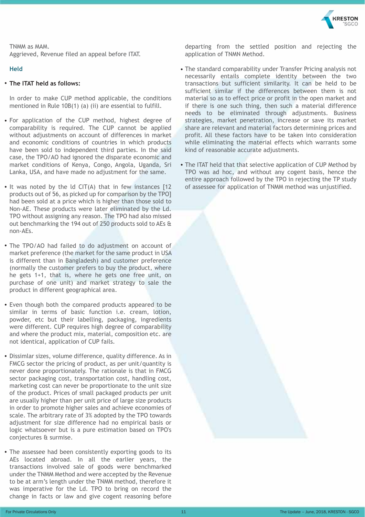

TNMM as MAM. Aggrieved, Revenue filed an appeal before ITAT.

#### **Held**

#### • **The ITAT held as follows:**

In order to make CUP method applicable, the conditions mentioned in Rule 10B(1) (a) (ii) are essential to fulfill.

- For application of the CUP method, highest degree of comparability is required. The CUP cannot be applied without adjustments on account of differences in market and economic conditions of countries in which products have been sold to independent third parties. In the said case, the TPO/AO had ignored the disparate economic and market conditions of Kenya, Congo, Angola, Uganda, Sri Lanka, USA, and have made no adjustment for the same.
- It was noted by the ld CIT(A) that in few instances [12 products out of 56, as picked up for comparison by the TPO] had been sold at a price which is higher than those sold to Non-AE. These products were later eliminated by the Ld. TPO without assigning any reason. The TPO had also missed out benchmarking the 194 out of 250 products sold to AEs & non-AEs.
- The TPO/AO had failed to do adjustment on account of market preference (the market for the same product in USA is different than in Bangladesh) and customer preference (normally the customer prefers to buy the product, where he gets 1+1, that is, where he gets one free unit, on purchase of one unit) and market strategy to sale the product in different geographical area.
- Even though both the compared products appeared to be similar in terms of basic function i.e. cream, lotion, powder, etc but their labelling, packaging, ingredients were different. CUP requires high degree of comparability and where the product mix, material, composition etc. are not identical, application of CUP fails.
- Dissimlar sizes, volume difference, quality difference. As in FMCG sector the pricing of product, as per unit/quantity is never done proportionately. The rationale is that in FMCG sector packaging cost, transportation cost, handling cost, marketing cost can never be proportionate to the unit size of the product. Prices of small packaged products per unit are usually higher than per unit price of large size products in order to promote higher sales and achieve economies of scale. The arbitrary rate of 3% adopted by the TPO towards adjustment for size difference had no empirical basis or logic whatsoever but is a pure estimation based on TPO's conjectures & surmise.
- The assessee had been consistently exporting goods to its AEs located abroad. In all the earlier years, the transactions involved sale of goods were benchmarked under the TNMM Method and were accepted by the Revenue to be at arm's length under the TNMM method, therefore it was imperative for the Ld. TPO to bring on record the change in facts or law and give cogent reasoning before

departing from the settled position and rejecting the application of TNMN Method.

- The standard comparability under Transfer Pricing analysis not necessarily entails complete identity between the two transactions but sufficient similarity. It can be held to be sufficient similar if the differences between them is not material so as to effect price or profit in the open market and if there is one such thing, then such a material difference needs to be eliminated through adjustments. Business strategies, market penetration, increase or save its market share are relevant and material factors determining prices and profit. All these factors have to be taken into consideration while eliminating the material effects which warrants some kind of reasonable accurate adjustments.
- The ITAT held that that selective application of CUP Method by TPO was ad hoc, and without any cogent basis, hence the entire approach followed by the TPO in rejecting the TP study of assessee for application of TNMM method was unjustified.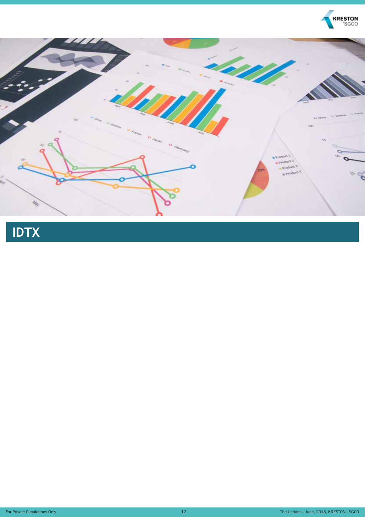

# **IDTX**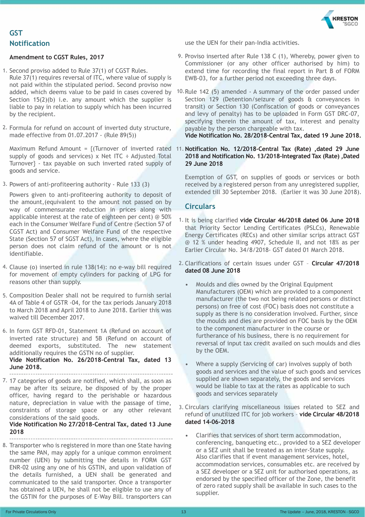

#### **Notification GST**

#### **Amendment to CGST Rules, 2017**

- 1. Second proviso added to Rule 37(1) of CGST Rules. Rule 37(1) requires reversal of ITC, where value of supply is not paid within the stipulated period. Second proviso now Section  $15(2)(b)$  i.e. any amount which the supplier is liable to pay in relation to supply which has been incurred by the recipient.
- 2. Formula for refund on account of inverted duty structure, made effective from 01.07.2017 - (Rule 89(5))

supply of goods and services) x Net ITC  $\div$  Adjusted Total Turnover} - tax payable on such inverted rated supply of goods and service.

3. Powers of anti-profiteering authority - Rule 133 (3)

Powers given to anti-profiteering authority to deposit of the amount,(equivalent to the amount not passed on by way of commensurate reduction in prices along with applicable interest at the rate of eighteen per cent) @ 50% each in the Consumer Welfare Fund of Centre (Section 57 of CGST Act) and Consumer Welfare Fund of the respective State (Section 57 of SGST Act), In cases, where the eligible person does not claim refund of the amount or is not identifiable.

- 4. Clause (o) inserted in rule 138(14): no e-way bill required for movement of empty cylinders for packing of LPG for reasons other than supply.
- 5. Composition Dealer shall not be required to furnish serial 4A of Table 4 of GSTR -04, for the tax periods January 2018 to March 2018 and April 2018 to June 2018. Earlier this was waived till December 2017.
- 6. In form GST RFD-01, Statement 1A (Refund on account of inverted rate structure) and 5B (Refund on account of deemed exports, substituted. The new statement additionally requires the GSTN no of supplier. **Vide Notification No. 26/2018-Central Tax, dated 13 June 2018.**
- 7. 17 categories of goods are notified, which shall, as soon as may be after its seizure, be disposed of by the proper officer, having regard to the perishable or hazardous nature, depreciation in value with the passage of time, constraints of storage space or any other relevant considerations of the said goods.

**Vide Notification No 27/2018-Central Tax, dated 13 June 2018** 

8. Transporter who is registered in more than one State having the same PAN, may apply for a unique common enrolment number (UEN) by submitting the details in FORM GST ENR-02 using any one of his GSTIN, and upon validation of the details furnished, a UEN shall be generated and communicated to the said transporter. Once a transporter has obtained a UEN, he shall not be eligible to use any of the GSTIN for the purposes of E-Way Bill. transporters can

use the UEN for their pan-India activities.

- 9. Proviso inserted after Rule 138 C (1), Whereby, power given to Commissioner (or any other officer authorised by him) to extend time for recording the final report in Part B of FORM EWB-03, for a further period not exceeding three days.
- added, which deems value to be paid in cases covered by 10. Rule 142 (5) amended A summary of the order passed under Section 129 (Detention/seizure of goods & conveyances in transit) or Section 130 (Confiscation of goods or conveyances and levy of penalty) has to be uploaded in Form GST DRC-07, specifying therein the amount of tax, interest and penalty payable by the person chargeable with tax. **Vide Notification No. 28/2018-Central Tax, dated 19 June 2018.**
- Maximum Refund Amount = {(Turnover of inverted rated 11. **Notification No. 12/2018-Central Tax (Rate) ,dated 29 June 2018 and Notification No. 13/2018-Integrated Tax (Rate) ,Dated 29 June 2018**

Exemption of GST, on supplies of goods or services or both received by a registered person from any unregistered supplier, extended till 30 September 2018. (Earlier it was 30 June 2018).

#### **Circulars**

- 1. It is being clarified **vide Circular 46/2018 dated 06 June 2018**  that Priority Sector Lending Certificates (PSLCs), Renewable Energy Certificates (RECs) and other similar scrips attract GST @ 12 % under heading 4907, Schedule II, and not 18% as per Earlier Circular No. 34/8/2018- GST dated 01 March 2018.
- 2. Clarifications of certain issues under GST **Circular 47/2018 dated 08 June 2018**
	- Moulds and dies owned by the Original Equipment Manufacturers (OEM) which are provided to a component manufacturer (the two not being related persons or distinct persons) on free of cost (FOC) basis does not constitute a supply as there is no consideration involved. Further, since the moulds and dies are provided on FOC basis by the OEM to the component manufacturer in the course or furtherance of his business, there is no requirement for reversal of input tax credit availed on such moulds and dies by the OEM.
	- Where a supply (Servicing of car) involves supply of both goods and services and the value of such goods and services supplied are shown separately, the goods and services would be liable to tax at the rates as applicable to such goods and services separately
- 3. Circulars clarifying miscellaneous issues related to SEZ and refund of unutilized ITC for job workers – **vide Circular 48/2018 dated 14-06-2018**
	- Clarifies that services of short term accommodation, conferencing, banqueting etc., provided to a SEZ developer or a SEZ unit shall be treated as an inter-State supply. Also clarifies that if event management services, hotel, accommodation services, consumables etc. are received by a SEZ developer or a SEZ unit for authorised operations, as endorsed by the specified officer of the Zone, the benefit of zero rated supply shall be available in such cases to the supplier.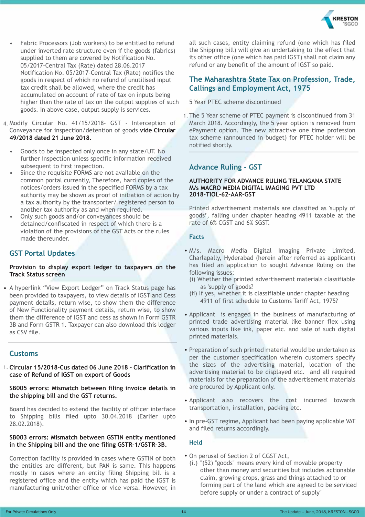

- Fabric Processors (Job workers) to be entitled to refund under inverted rate structure even if the goods (fabrics) supplied to them are covered by Notification No. 05/2017-Central Tax (Rate) dated 28.06.2017 Notification No. 05/2017-Central Tax (Rate) notifies the goods in respect of which no refund of unutilised input tax credit shall be allowed, where the credit has accumulated on account of rate of tax on inputs being higher than the rate of tax on the output supplies of such goods. In above case, output supply is services.
- 4. Modify Circular No. 41/15/2018- GST Interception of Conveyance for inspection/detention of goods **vide Circular 49/2018 dated 21 June 2018.**
	- Goods to be inspected only once in any state/UT. No further inspection unless specific information received subsequent to first inspection.
	- Since the requisite FORMS are not available on the common portal currently, Therefore, hard copies of the notices/orders issued in the specified FORMS by a tax authority may be shown as proof of initiation of action by a tax authority by the transporter/ registered person to another tax authority as and when required.
	- Only such goods and/or conveyances should be detained/confiscated in respect of which there is a violation of the provisions of the GST Acts or the rules made thereunder.

#### **GST Portal Updates**

#### **Provision to display export ledger to taxpayers on the Track Status screen**

• A hyperlink "View Export Ledger" on Track Status page has been provided to taxpayers, to view details of IGST and Cess payment details, return wise, to show them the difference of New Functionality payment details, return wise, to show them the difference of IGST and cess as shown in Form GSTR 3B and Form GSTR 1. Taxpayer can also download this ledger as CSV file.

#### **Customs**

1. **Circular 15/2018-Cus dated 06 June 2018 – Clarification in case of Refund of IGST on export of Goods**

#### **SB005 errors: Mismatch between filing invoice details in the shipping bill and the GST returns.**

Board has decided to extend the facility of officer interface to Shipping bills filed upto 30.04.2018 (Earlier upto 28.02.2018).

#### **SB003 errors: Mismatch between GSTIN entity mentioned in the Shipping bill and the one filing GSTR-1/GSTR-3B.**

Correction facility is provided in cases where GSTIN of both the entities are different, but PAN is same. This happens mostly in cases where an entity filing Shipping bill is a registered office and the entity which has paid the IGST is manufacturing unit/other office or vice versa. However, in all such cases, entity claiming refund (one which has filed the Shipping bill) will give an undertaking to the effect that its other office (one which has paid IGST) shall not claim any refund or any benefit of the amount of IGST so paid.

#### **The Maharashtra State Tax on Profession, Trade, Callings and Employment Act, 1975**

#### 5 Year PTEC scheme discontinued

1. The 5 Year scheme of PTEC payment is discontinued from 31 March 2018. Accordingly, the 5 year option is removed from ePayment option. The new attractive one time profession tax scheme (announced in budget) for PTEC holder will be notified shortly.

#### **Advance Ruling - GST**

#### **AUTHORITY FOR ADVANCE RULING TELANGANA STATE M/s MACRO MEDIA DIGITAL IMAGING PVT LTD 2018-TIOL-62-AAR-GST**

Printed advertisement materials are classified as 'supply of goods', falling under chapter heading 4911 taxable at the rate of 6% CGST and 6% SGST.

#### **Facts**

- M/s. Macro Media Digital Imaging Private Limited, Charlapally, Hyderabad (herein after referred as applicant) has filed an application to sought Advance Ruling on the following issues:
	- (i) Whether the printed advertisement materials classifiable as 'supply of goods?
	- (ii) If yes, whether it is classifiable under chapter heading 4911 of first schedule to Customs Tariff Act, 1975?
- Applicant is engaged in the business of manufacturing of printed trade advertising material like banner flex using various inputs like ink, paper etc. and sale of such digital printed materials.
- Preparation of such printed material would be undertaken as per the customer specification wherein customers specify the sizes of the advertising material, location of the advertising material to be displayed etc. and all required materials for the preparation of the advertisement materials are procured by Applicant only.
- Applicant also recovers the cost incurred towards transportation, installation, packing etc.
- In pre-GST regime, Applicant had been paying applicable VAT and filed returns accordingly.

#### **Held**

- On perusal of Section 2 of CGST Act,
	- (i.) "(52) "goods" means every kind of movable property other than money and securities but includes actionable claim, growing crops, grass and things attached to or forming part of the land which are agreed to be serviced before supply or under a contract of supply"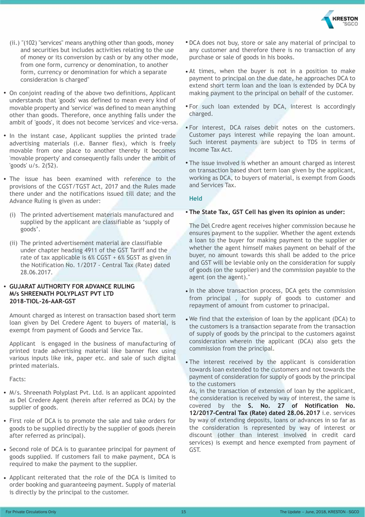

- (ii.) "(102) "services" means anything other than goods, money and securities but includes activities relating to the use of money or its conversion by cash or by any other mode, from one form, currency or denomination, to another form, currency or denomination for which a separate consideration is charged"
- On conjoint reading of the above two definitions, Applicant understands that 'goods' was defined to mean every kind of movable property and 'service' was defined to mean anything other than goods. Therefore, once anything falls under the ambit of 'goods', it does not become 'services' and vice-versa.
- In the instant case, Applicant supplies the printed trade advertising materials (i.e. Banner flex), which is freely movable from one place to another thereby it becomes 'movable property' and consequently falls under the ambit of 'goods' u/s. 2(52).
- The issue has been examined with reference to the provisions of the CGST/TGST Act, 2017 and the Rules made there under and the notifications issued till date; and the Advance Ruling is given as under:
	- (i) The printed advertisement materials manufactured and supplied by the applicant are classifiable as 'supply of goods'.
	- (ii) The printed advertisement material are classifiable under chapter heading 4911 of the GST Tariff and the rate of tax applicable is 6% CGST + 6% SGST as given in the Notification No. 1/2017 - Central Tax (Rate) dated 28.06.2017.

#### • **GUJARAT AUTHORITY FOR ADVANCE RULING M/s SHREENATH POLYPLAST PVT LTD 2018-TIOL-26-AAR-GST**

Amount charged as interest on transaction based short term loan given by Del Credere Agent to buyers of material, is exempt from payment of Goods and Service Tax.

Applicant is engaged in the business of manufacturing of printed trade advertising material like banner flex using various inputs like ink, paper etc. and sale of such digital printed materials.

Facts:

- M/s. Shreenath Polyplast Pvt. Ltd. is an applicant appointed as Del Credere Agent (herein after referred as DCA) by the supplier of goods.
- First role of DCA is to promote the sale and take orders for goods to be supplied directly by the supplier of goods (herein after referred as principal).
- Second role of DCA is to guarantee principal for payment of goods supplied. If customers fail to make payment, DCA is required to make the payment to the supplier.
- Applicant reiterated that the role of the DCA is limited to order booking and guaranteeing payment. Supply of material is directly by the principal to the customer.
- DCA does not buy, store or sale any material of principal to any customer and therefore there is no transaction of any purchase or sale of goods in his books.
- At times, when the buyer is not in a position to make payment to principal on the due date, he approaches DCA to extend short term loan and the loan is extended by DCA by making payment to the principal on behalf of the customer.
- For such loan extended by DCA, interest is accordingly charged.
- For interest, DCA raises debit notes on the customers. Customer pays interest while repaying the loan amount. Such interest payments are subject to TDS in terms of Income Tax Act.
- The issue involved is whether an amount charged as interest on transaction based short term loan given by the applicant, working as DCA, to buyers of material, is exempt from Goods and Services Tax.

#### **Held**

#### • **The State Tax, GST Cell has given its opinion as under:**

The Del Credre agent receives higher commission because he ensures payment to the supplier. Whether the agent extends a loan to the buyer for making payment to the supplier or whether the agent himself makes payment on behalf of the buyer, no amount towards this shall be added to the price and GST will be leviable only on the consideration for supply of goods (on the supplier) and the commission payable to the agent (on the agent)."

- In the above transaction process, DCA gets the commission from principal , for supply of goods to customer and repayment of amount from customer to prinacipal.
- We find that the extension of loan by the applicant (DCA) to the customers is a transaction separate from the transaction of supply of goods by the principal to the customers against consideration wherein the applicant (DCA) also gets the commission from the principal.
- The interest received by the applicant is consideration towards loan extended to the customers and not towards the payment of consideration for supply of goods by the principal to the customers

As, in the transaction of extension of loan by the applicant, the consideration is received by way of interest, the same is covered by the **S. No. 27 of Notification No. 12/2017-Central Tax (Rate) dated 28.06.2017** i.e. services by way of extending deposits, loans or advances in so far as the consideration is represented by way of interest or discount (other than interest involved in credit card services) is exempt and hence exempted from payment of GST.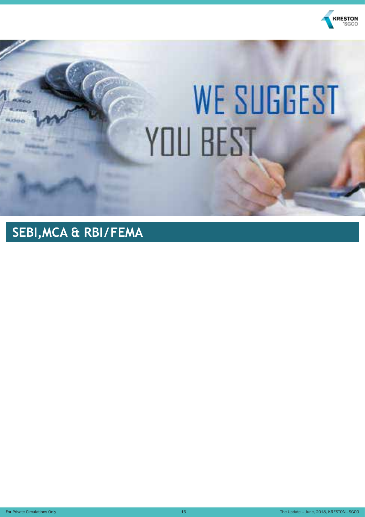

# **WE SUGGEST** YOU BEST

## **SEBI,MCA & RBI/FEMA**

For Private Circulations Only **16** The Update – June, 2018, KRESTON - SGCO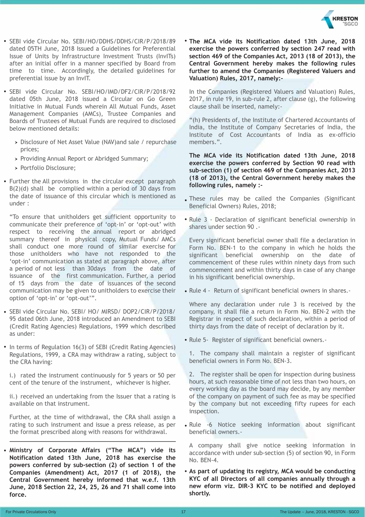

- SEBI vide Circular No. SEBI/HO/DDHS/DDHS/CIR/P/2018/89 dated 05TH June, 2018 Issued a Guidelines for Preferential Issue of Units by Infrastructure Investment Trusts (InvITs) after an initial offer in a manner specified by Board from time to time. Accordingly, the detailed guidelines for preferential issue by an InvIT.
- SEBI vide Circular No. SEBI/HO/IMD/DF2/CIR/P/2018/92 dated 05th June, 2018 issued a Circular on Go Green Initiative in Mutual Funds wherein All Mutual Funds, Asset Management Companies (AMCs), Trustee Companies and Boards of Trustees of Mutual Funds are required to disclosed below mentioned details:
	- Disclosure of Net Asset Value (NAV)and sale / repurchase prices;
	- > Providing Annual Report or Abridged Summary;
	- Portfolio Disclosure;
- Further the All provisions in the circular except paragraph  $B(2)(d)$  shall be complied within a period of 30 days from the date of issuance of this circular which is mentioned as under :

"To ensure that unitholders get sufficient opportunity to communicate their preference of 'opt-in' or 'opt-out' with respect to receiving the annual report or abridged summary thereof in physical copy, Mutual Funds/ AMCs shall conduct one more round of similar exercise for those unitholders who have not responded to the 'opt-in' communication as stated at paragraph above, after a period of not less than 30days from the date of issuance of the first communication. Further, a period of 15 days from the date of issuances of the second communication may be given to unitholders to exercise their option of 'opt-in' or 'opt-out'".

- SEBI vide Circular No. SEBI/ HO/ MIRSD/ DOP2/CIR/P/2018/ 95 dated 06th June, 2018 introduced an Amendment to SEBI (Credit Rating Agencies) Regulations, 1999 which described as under:
- In terms of Regulation 16(3) of SEBI (Credit Rating Agencies) Regulations, 1999, a CRA may withdraw a rating, subject to the CRA having:

i.) rated the instrument continuously for 5 years or 50 per cent of the tenure of the instrument, whichever is higher.

ii.) received an undertaking from the Issuer that a rating is available on that instrument.

Further, at the time of withdrawal, the CRA shall assign a rating to such instrument and issue a press release, as per the format prescribed along with reasons for withdrawal.

• **Ministry of Corporate Affairs ("The MCA") vide its Notification dated 13th June, 2018 has exercise the powers conferred by sub-section (2) of section 1 of the Companies (Amendment) Act, 2017 (1 of 2018), the Central Government hereby informed that w.e.f. 13th June, 2018 Section 22, 24, 25, 26 and 71 shall come into force.**

• **The MCA vide its Notification dated 13th June, 2018 exercise the powers conferred by section 247 read with section 469 of the Companies Act, 2013 (18 of 2013), the Central Government hereby makes the following rules further to amend the Companies (Registered Valuers and Valuation) Rules, 2017, namely:-**

In the Companies (Registered Valuers and Valuation) Rules, 2017, in rule 19, in sub-rule 2, after clause (g), the following clause shall be inserted, namely:-

"(h) Presidents of, the Institute of Chartered Accountants of India, the Institute of Company Secretaries of India, the Institute of Cost Accountants of India as ex-officio members.".

**The MCA vide its Notification dated 13th June, 2018 exercise the powers conferred by Section 90 read with sub-section (1) of section 469 of the Companies Act, 2013 (18 of 2013), the Central Government hereby makes the following rules, namely :-**

- These rules may be called the Companies (Significant Beneficial Owners) Rules, 2018;
- Rule 3 Declaration of significant beneficial ownership in shares under section 90 .-

Every significant beneficial owner shall file a declaration in Form No. BEN-1 to the company in which he holds the significant beneficial ownership on the date of commencement of these rules within ninety days from such commencement and within thirty days in case of any change in his significant beneficial ownership.

• Rule 4 - Return of significant beneficial owners in shares.-

Where any declaration under rule 3 is received by the company, it shall file a return in Form No. BEN-2 with the Registrar in respect of such declaration, within a period of thirty days from the date of receipt of declaration by it.

• Rule 5- Register of significant beneficial owners.-

1. The company shall maintain a register of significant beneficial owners in Form No. BEN-3.

2. The register shall be open for inspection during business hours, at such reasonable time of not less than two hours, on every working day as the board may decide, by any member of the company on payment of such fee as may be specified by the company but not exceeding fifty rupees for each inspection.

• Rule -6 Notice seeking information about significant beneficial owners.-

A company shall give notice seeking information in accordance with under sub-section (5) of section 90, in Form No. BEN-4.

• **As part of updating its registry, MCA would be conducting KYC of all Directors of all companies annually through a new eform viz. DIR-3 KYC to be notified and deployed shortly.**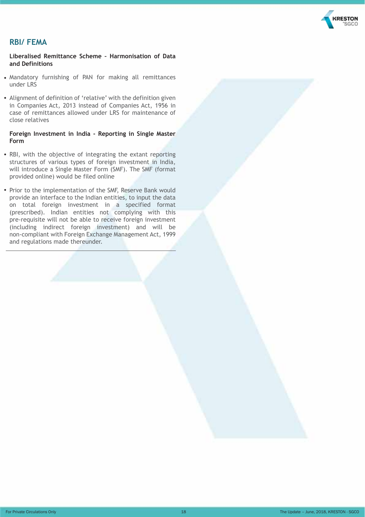

#### **RBI/ FEMA**

#### **Liberalised Remittance Scheme – Harmonisation of Data and Definitions**

- Mandatory furnishing of PAN for making all remittances under LRS
- Alignment of definition of 'relative' with the definition given in Companies Act, 2013 instead of Companies Act, 1956 in case of remittances allowed under LRS for maintenance of close relatives

#### **Foreign Investment in India - Reporting in Single Master Form**

- RBI, with the objective of integrating the extant reporting structures of various types of foreign investment in India, will introduce a Single Master Form (SMF). The SMF (format provided online) would be filed online
- Prior to the implementation of the SMF, Reserve Bank would provide an interface to the Indian entities, to input the data on total foreign investment in a specified format (prescribed). Indian entities not complying with this pre-requisite will not be able to receive foreign investment (including indirect foreign investment) and will be non-compliant with Foreign Exchange Management Act, 1999 and regulations made thereunder.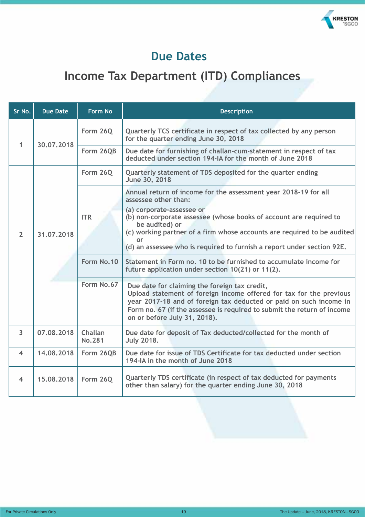

### **Due Dates**

## **Income Tax Department (ITD) Compliances**

| Sr No.         | <b>Due Date</b> | <b>Form No</b>           | <b>Description</b>                                                                                                                                                                                                                                                                                    |  |
|----------------|-----------------|--------------------------|-------------------------------------------------------------------------------------------------------------------------------------------------------------------------------------------------------------------------------------------------------------------------------------------------------|--|
| 1              | 30.07.2018      | Form 26Q                 | Quarterly TCS certificate in respect of tax collected by any person<br>for the quarter ending June 30, 2018                                                                                                                                                                                           |  |
|                |                 | Form 26QB                | Due date for furnishing of challan-cum-statement in respect of tax<br>deducted under section 194-IA for the month of June 2018                                                                                                                                                                        |  |
|                |                 | <b>Form 26Q</b>          | Quarterly statement of TDS deposited for the quarter ending<br>June 30, 2018                                                                                                                                                                                                                          |  |
|                |                 |                          | Annual return of income for the assessment year 2018-19 for all<br>assessee other than:<br>(a) corporate-assessee or                                                                                                                                                                                  |  |
| $\overline{2}$ | 31.07.2018      | <b>ITR</b>               | (b) non-corporate assessee (whose books of account are required to<br>be audited) or<br>(c) working partner of a firm whose accounts are required to be audited<br><b>or</b>                                                                                                                          |  |
|                |                 |                          | (d) an assessee who is required to furnish a report under section 92E.                                                                                                                                                                                                                                |  |
|                |                 | Form No.10               | Statement in Form no. 10 to be furnished to accumulate income for<br>future application under section 10(21) or 11(2).                                                                                                                                                                                |  |
|                |                 | Form No.67               | Due date for claiming the foreign tax credit,<br>Upload statement of foreign income offered for tax for the previous<br>year 2017-18 and of foreign tax deducted or paid on such income in<br>Form no. 67 (if the assessee is required to submit the return of income<br>on or before July 31, 2018). |  |
| 3              | 07.08.2018      | Challan<br><b>No.281</b> | Due date for deposit of Tax deducted/collected for the month of<br><b>July 2018.</b>                                                                                                                                                                                                                  |  |
| 4              | 14.08.2018      | Form 26QB                | Due date for issue of TDS Certificate for tax deducted under section<br>194-IA in the month of June 2018                                                                                                                                                                                              |  |
| 4              | 15.08.2018      | Form 26Q                 | Quarterly TDS certificate (in respect of tax deducted for payments<br>other than salary) for the quarter ending June 30, 2018                                                                                                                                                                         |  |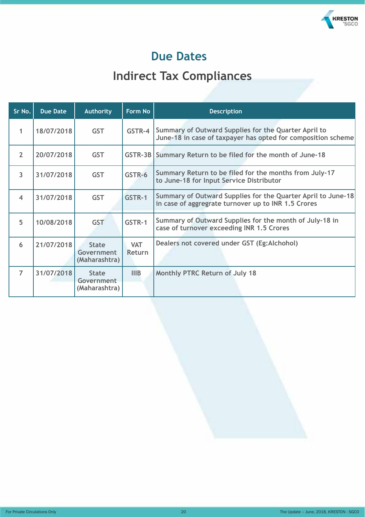

### **Due Dates**

## **Indirect Tax Compliances**

| Sr No.         | <b>Due Date</b> | <b>Authority</b>                            | Form No              | <b>Description</b>                                                                                                   |
|----------------|-----------------|---------------------------------------------|----------------------|----------------------------------------------------------------------------------------------------------------------|
| 1              | 18/07/2018      | <b>GST</b>                                  | GSTR-4               | Summary of Outward Supplies for the Quarter April to<br>June-18 in case of taxpayer has opted for composition scheme |
| $\overline{2}$ | 20/07/2018      | <b>GST</b>                                  |                      | GSTR-3B Summary Return to be filed for the month of June-18                                                          |
| $\overline{3}$ | 31/07/2018      | <b>GST</b>                                  | GSTR-6               | Summary Return to be filed for the months from July-17<br>to June-18 for Input Service Distributor                   |
| $\overline{4}$ | 31/07/2018      | <b>GST</b>                                  | GSTR-1               | Summary of Outward Supplies for the Quarter April to June-18<br>in case of aggregrate turnover up to INR 1.5 Crores  |
| 5              | 10/08/2018      | <b>GST</b>                                  | GSTR-1               | Summary of Outward Supplies for the month of July-18 in<br>case of turnover exceeding INR 1.5 Crores                 |
| 6              | 21/07/2018      | <b>State</b><br>Government<br>(Maharashtra) | <b>VAT</b><br>Return | Dealers not covered under GST (Eg:Alchohol)                                                                          |
| $\overline{7}$ | 31/07/2018      | <b>State</b><br>Government<br>(Maharashtra) | IIIB                 | Monthly PTRC Return of July 18                                                                                       |